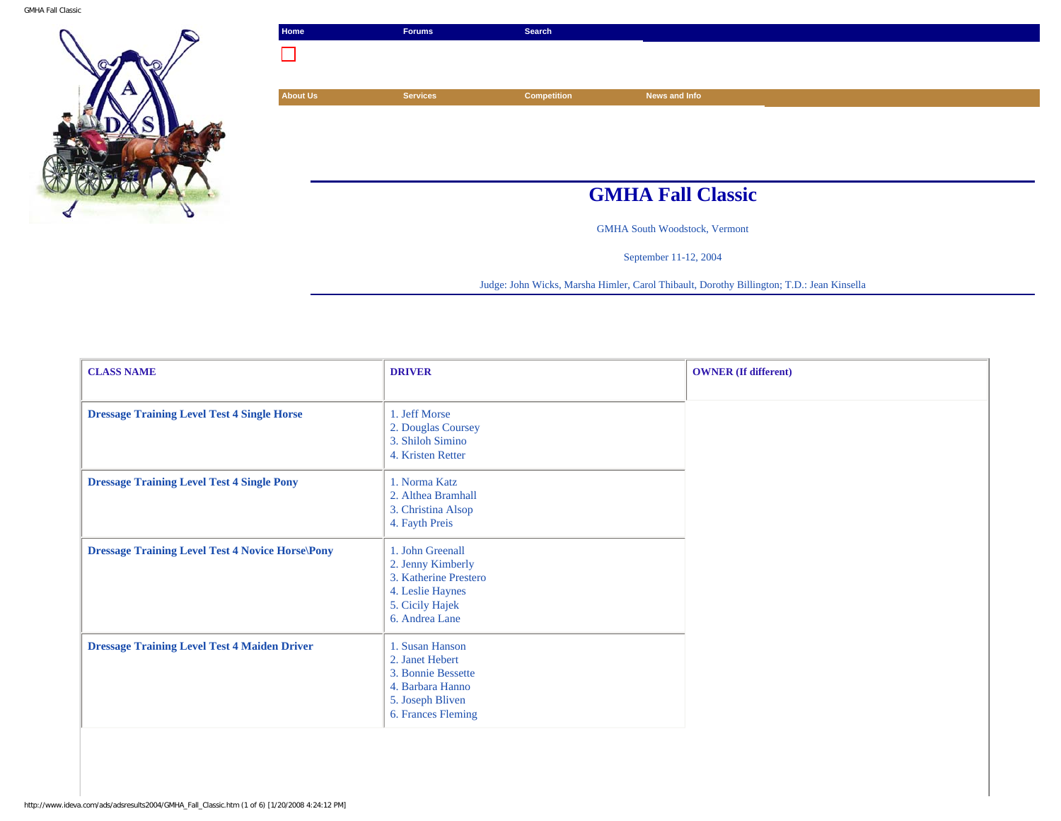

| Home            | <b>Forums</b>   | Search             |                                      |
|-----------------|-----------------|--------------------|--------------------------------------|
|                 |                 |                    |                                      |
|                 |                 |                    |                                      |
| <b>About Us</b> | <b>Services</b> | <b>Competition</b> | News and Info                        |
|                 |                 |                    |                                      |
|                 |                 |                    |                                      |
|                 |                 |                    |                                      |
|                 |                 |                    |                                      |
|                 |                 |                    | <b>GMHA Fall Classic</b>             |
|                 |                 |                    | <b>GMHA South Woodstock, Vermont</b> |

September 11-12, 2004

Judge: John Wicks, Marsha Himler, Carol Thibault, Dorothy Billington; T.D.: Jean Kinsella

| <b>CLASS NAME</b>                                       | <b>DRIVER</b>                                                                                                           | <b>OWNER</b> (If different) |
|---------------------------------------------------------|-------------------------------------------------------------------------------------------------------------------------|-----------------------------|
| <b>Dressage Training Level Test 4 Single Horse</b>      | 1. Jeff Morse<br>2. Douglas Coursey<br>3. Shiloh Simino<br>4. Kristen Retter                                            |                             |
| <b>Dressage Training Level Test 4 Single Pony</b>       | 1. Norma Katz<br>2. Althea Bramhall<br>3. Christina Alsop<br>4. Fayth Preis                                             |                             |
| <b>Dressage Training Level Test 4 Novice Horse\Pony</b> | 1. John Greenall<br>2. Jenny Kimberly<br>3. Katherine Prestero<br>4. Leslie Haynes<br>5. Cicily Hajek<br>6. Andrea Lane |                             |
| <b>Dressage Training Level Test 4 Maiden Driver</b>     | 1. Susan Hanson<br>2. Janet Hebert<br>3. Bonnie Bessette<br>4. Barbara Hanno<br>5. Joseph Bliven<br>6. Frances Fleming  |                             |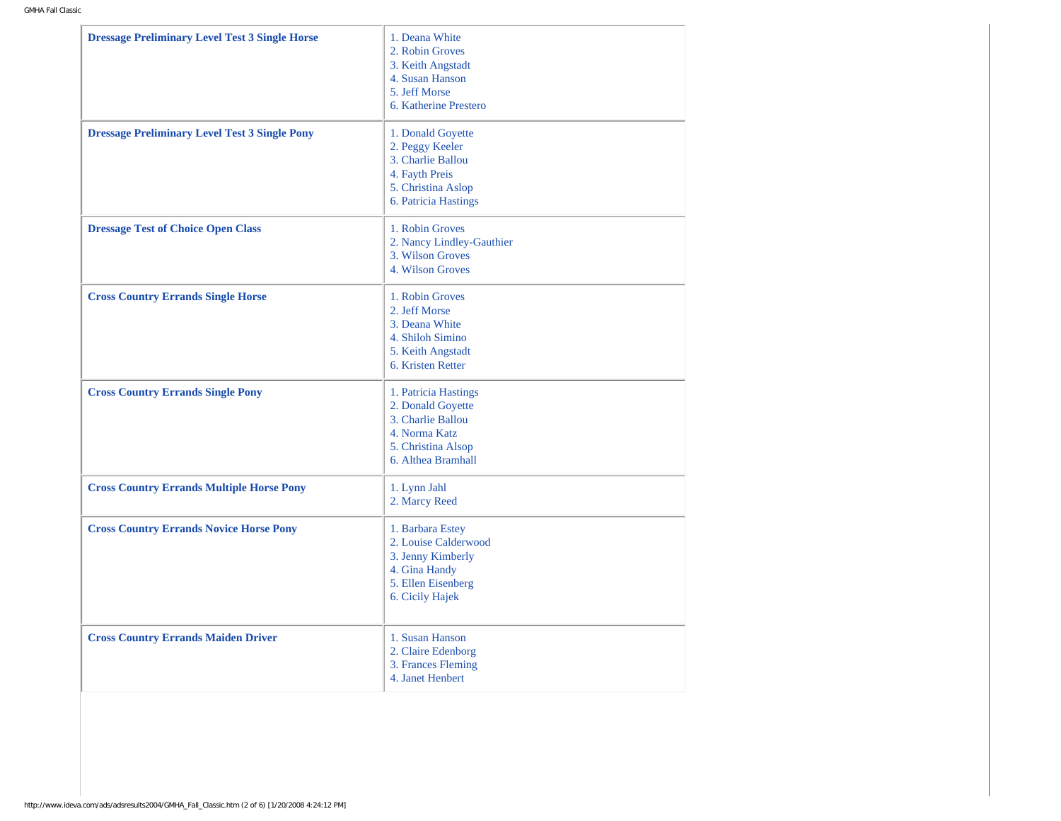| 2. Robin Groves<br>3. Keith Angstadt<br>4. Susan Hanson<br>5. Jeff Morse<br>6. Katherine Prestero<br>1. Donald Goyette<br><b>Dressage Preliminary Level Test 3 Single Pony</b><br>2. Peggy Keeler<br>3. Charlie Ballou<br>4. Fayth Preis<br>5. Christina Aslop<br>6. Patricia Hastings<br>1. Robin Groves<br><b>Dressage Test of Choice Open Class</b><br>2. Nancy Lindley-Gauthier<br>3. Wilson Groves<br>4. Wilson Groves<br><b>Cross Country Errands Single Horse</b><br>1. Robin Groves<br>2. Jeff Morse<br>3. Deana White<br>4. Shiloh Simino<br>5. Keith Angstadt<br>6. Kristen Retter<br><b>Cross Country Errands Single Pony</b><br>1. Patricia Hastings<br>2. Donald Goyette<br>3. Charlie Ballou<br>4. Norma Katz<br>5. Christina Alsop<br>6. Althea Bramhall<br>1. Lynn Jahl<br><b>Cross Country Errands Multiple Horse Pony</b><br>2. Marcy Reed<br><b>Cross Country Errands Novice Horse Pony</b><br>1. Barbara Estey<br>2. Louise Calderwood<br>3. Jenny Kimberly<br>4. Gina Handy<br>5. Ellen Eisenberg<br>6. Cicily Hajek<br>1. Susan Hanson<br><b>Cross Country Errands Maiden Driver</b><br>2. Claire Edenborg<br>3. Frances Fleming<br>4. Janet Henbert | <b>Dressage Preliminary Level Test 3 Single Horse</b> | 1. Deana White |
|----------------------------------------------------------------------------------------------------------------------------------------------------------------------------------------------------------------------------------------------------------------------------------------------------------------------------------------------------------------------------------------------------------------------------------------------------------------------------------------------------------------------------------------------------------------------------------------------------------------------------------------------------------------------------------------------------------------------------------------------------------------------------------------------------------------------------------------------------------------------------------------------------------------------------------------------------------------------------------------------------------------------------------------------------------------------------------------------------------------------------------------------------------------------------|-------------------------------------------------------|----------------|
|                                                                                                                                                                                                                                                                                                                                                                                                                                                                                                                                                                                                                                                                                                                                                                                                                                                                                                                                                                                                                                                                                                                                                                            |                                                       |                |
|                                                                                                                                                                                                                                                                                                                                                                                                                                                                                                                                                                                                                                                                                                                                                                                                                                                                                                                                                                                                                                                                                                                                                                            |                                                       |                |
|                                                                                                                                                                                                                                                                                                                                                                                                                                                                                                                                                                                                                                                                                                                                                                                                                                                                                                                                                                                                                                                                                                                                                                            |                                                       |                |
|                                                                                                                                                                                                                                                                                                                                                                                                                                                                                                                                                                                                                                                                                                                                                                                                                                                                                                                                                                                                                                                                                                                                                                            |                                                       |                |
|                                                                                                                                                                                                                                                                                                                                                                                                                                                                                                                                                                                                                                                                                                                                                                                                                                                                                                                                                                                                                                                                                                                                                                            |                                                       |                |
|                                                                                                                                                                                                                                                                                                                                                                                                                                                                                                                                                                                                                                                                                                                                                                                                                                                                                                                                                                                                                                                                                                                                                                            |                                                       |                |
|                                                                                                                                                                                                                                                                                                                                                                                                                                                                                                                                                                                                                                                                                                                                                                                                                                                                                                                                                                                                                                                                                                                                                                            |                                                       |                |
|                                                                                                                                                                                                                                                                                                                                                                                                                                                                                                                                                                                                                                                                                                                                                                                                                                                                                                                                                                                                                                                                                                                                                                            |                                                       |                |
|                                                                                                                                                                                                                                                                                                                                                                                                                                                                                                                                                                                                                                                                                                                                                                                                                                                                                                                                                                                                                                                                                                                                                                            |                                                       |                |
|                                                                                                                                                                                                                                                                                                                                                                                                                                                                                                                                                                                                                                                                                                                                                                                                                                                                                                                                                                                                                                                                                                                                                                            |                                                       |                |
|                                                                                                                                                                                                                                                                                                                                                                                                                                                                                                                                                                                                                                                                                                                                                                                                                                                                                                                                                                                                                                                                                                                                                                            |                                                       |                |
|                                                                                                                                                                                                                                                                                                                                                                                                                                                                                                                                                                                                                                                                                                                                                                                                                                                                                                                                                                                                                                                                                                                                                                            |                                                       |                |
|                                                                                                                                                                                                                                                                                                                                                                                                                                                                                                                                                                                                                                                                                                                                                                                                                                                                                                                                                                                                                                                                                                                                                                            |                                                       |                |
|                                                                                                                                                                                                                                                                                                                                                                                                                                                                                                                                                                                                                                                                                                                                                                                                                                                                                                                                                                                                                                                                                                                                                                            |                                                       |                |
|                                                                                                                                                                                                                                                                                                                                                                                                                                                                                                                                                                                                                                                                                                                                                                                                                                                                                                                                                                                                                                                                                                                                                                            |                                                       |                |
|                                                                                                                                                                                                                                                                                                                                                                                                                                                                                                                                                                                                                                                                                                                                                                                                                                                                                                                                                                                                                                                                                                                                                                            |                                                       |                |
|                                                                                                                                                                                                                                                                                                                                                                                                                                                                                                                                                                                                                                                                                                                                                                                                                                                                                                                                                                                                                                                                                                                                                                            |                                                       |                |
|                                                                                                                                                                                                                                                                                                                                                                                                                                                                                                                                                                                                                                                                                                                                                                                                                                                                                                                                                                                                                                                                                                                                                                            |                                                       |                |
|                                                                                                                                                                                                                                                                                                                                                                                                                                                                                                                                                                                                                                                                                                                                                                                                                                                                                                                                                                                                                                                                                                                                                                            |                                                       |                |
|                                                                                                                                                                                                                                                                                                                                                                                                                                                                                                                                                                                                                                                                                                                                                                                                                                                                                                                                                                                                                                                                                                                                                                            |                                                       |                |
|                                                                                                                                                                                                                                                                                                                                                                                                                                                                                                                                                                                                                                                                                                                                                                                                                                                                                                                                                                                                                                                                                                                                                                            |                                                       |                |
|                                                                                                                                                                                                                                                                                                                                                                                                                                                                                                                                                                                                                                                                                                                                                                                                                                                                                                                                                                                                                                                                                                                                                                            |                                                       |                |
|                                                                                                                                                                                                                                                                                                                                                                                                                                                                                                                                                                                                                                                                                                                                                                                                                                                                                                                                                                                                                                                                                                                                                                            |                                                       |                |
|                                                                                                                                                                                                                                                                                                                                                                                                                                                                                                                                                                                                                                                                                                                                                                                                                                                                                                                                                                                                                                                                                                                                                                            |                                                       |                |
|                                                                                                                                                                                                                                                                                                                                                                                                                                                                                                                                                                                                                                                                                                                                                                                                                                                                                                                                                                                                                                                                                                                                                                            |                                                       |                |
|                                                                                                                                                                                                                                                                                                                                                                                                                                                                                                                                                                                                                                                                                                                                                                                                                                                                                                                                                                                                                                                                                                                                                                            |                                                       |                |
|                                                                                                                                                                                                                                                                                                                                                                                                                                                                                                                                                                                                                                                                                                                                                                                                                                                                                                                                                                                                                                                                                                                                                                            |                                                       |                |
|                                                                                                                                                                                                                                                                                                                                                                                                                                                                                                                                                                                                                                                                                                                                                                                                                                                                                                                                                                                                                                                                                                                                                                            |                                                       |                |
|                                                                                                                                                                                                                                                                                                                                                                                                                                                                                                                                                                                                                                                                                                                                                                                                                                                                                                                                                                                                                                                                                                                                                                            |                                                       |                |
|                                                                                                                                                                                                                                                                                                                                                                                                                                                                                                                                                                                                                                                                                                                                                                                                                                                                                                                                                                                                                                                                                                                                                                            |                                                       |                |
|                                                                                                                                                                                                                                                                                                                                                                                                                                                                                                                                                                                                                                                                                                                                                                                                                                                                                                                                                                                                                                                                                                                                                                            |                                                       |                |
|                                                                                                                                                                                                                                                                                                                                                                                                                                                                                                                                                                                                                                                                                                                                                                                                                                                                                                                                                                                                                                                                                                                                                                            |                                                       |                |
|                                                                                                                                                                                                                                                                                                                                                                                                                                                                                                                                                                                                                                                                                                                                                                                                                                                                                                                                                                                                                                                                                                                                                                            |                                                       |                |
|                                                                                                                                                                                                                                                                                                                                                                                                                                                                                                                                                                                                                                                                                                                                                                                                                                                                                                                                                                                                                                                                                                                                                                            |                                                       |                |
|                                                                                                                                                                                                                                                                                                                                                                                                                                                                                                                                                                                                                                                                                                                                                                                                                                                                                                                                                                                                                                                                                                                                                                            |                                                       |                |
|                                                                                                                                                                                                                                                                                                                                                                                                                                                                                                                                                                                                                                                                                                                                                                                                                                                                                                                                                                                                                                                                                                                                                                            |                                                       |                |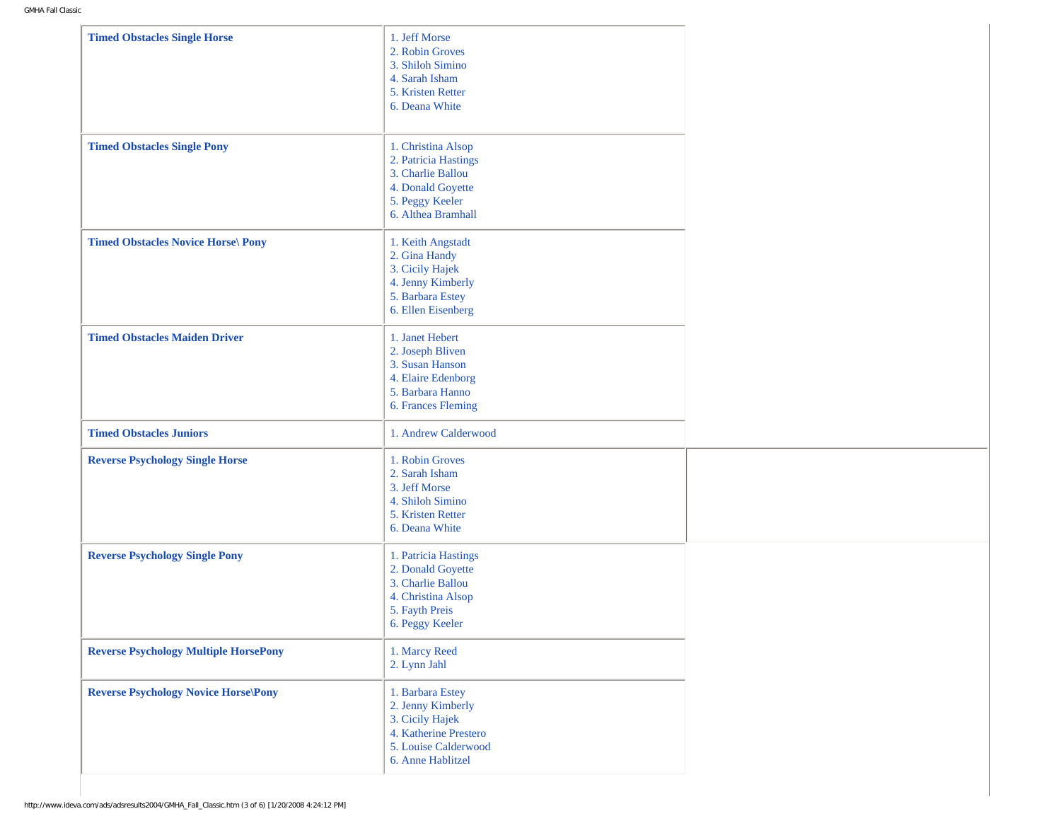| <b>Timed Obstacles Single Horse</b>          | 1. Jeff Morse<br>2. Robin Groves<br>3. Shiloh Simino<br>4. Sarah Isham<br>5. Kristen Retter<br>6. Deana White                  |  |
|----------------------------------------------|--------------------------------------------------------------------------------------------------------------------------------|--|
| <b>Timed Obstacles Single Pony</b>           | 1. Christina Alsop<br>2. Patricia Hastings<br>3. Charlie Ballou<br>4. Donald Goyette<br>5. Peggy Keeler<br>6. Althea Bramhall  |  |
| <b>Timed Obstacles Novice Horse\ Pony</b>    | 1. Keith Angstadt<br>2. Gina Handy<br>3. Cicily Hajek<br>4. Jenny Kimberly<br>5. Barbara Estey<br>6. Ellen Eisenberg           |  |
| <b>Timed Obstacles Maiden Driver</b>         | 1. Janet Hebert<br>2. Joseph Bliven<br>3. Susan Hanson<br>4. Elaire Edenborg<br>5. Barbara Hanno<br>6. Frances Fleming         |  |
| <b>Timed Obstacles Juniors</b>               | 1. Andrew Calderwood                                                                                                           |  |
| <b>Reverse Psychology Single Horse</b>       | 1. Robin Groves<br>2. Sarah Isham<br>3. Jeff Morse<br>4. Shiloh Simino<br>5. Kristen Retter<br>6. Deana White                  |  |
| <b>Reverse Psychology Single Pony</b>        | 1. Patricia Hastings<br>2. Donald Goyette<br>3. Charlie Ballou<br>4. Christina Alsop<br>5. Fayth Preis<br>6. Peggy Keeler      |  |
| <b>Reverse Psychology Multiple HorsePony</b> | 1. Marcy Reed<br>2. Lynn Jahl                                                                                                  |  |
| <b>Reverse Psychology Novice Horse\Pony</b>  | 1. Barbara Estey<br>2. Jenny Kimberly<br>3. Cicily Hajek<br>4. Katherine Prestero<br>5. Louise Calderwood<br>6. Anne Hablitzel |  |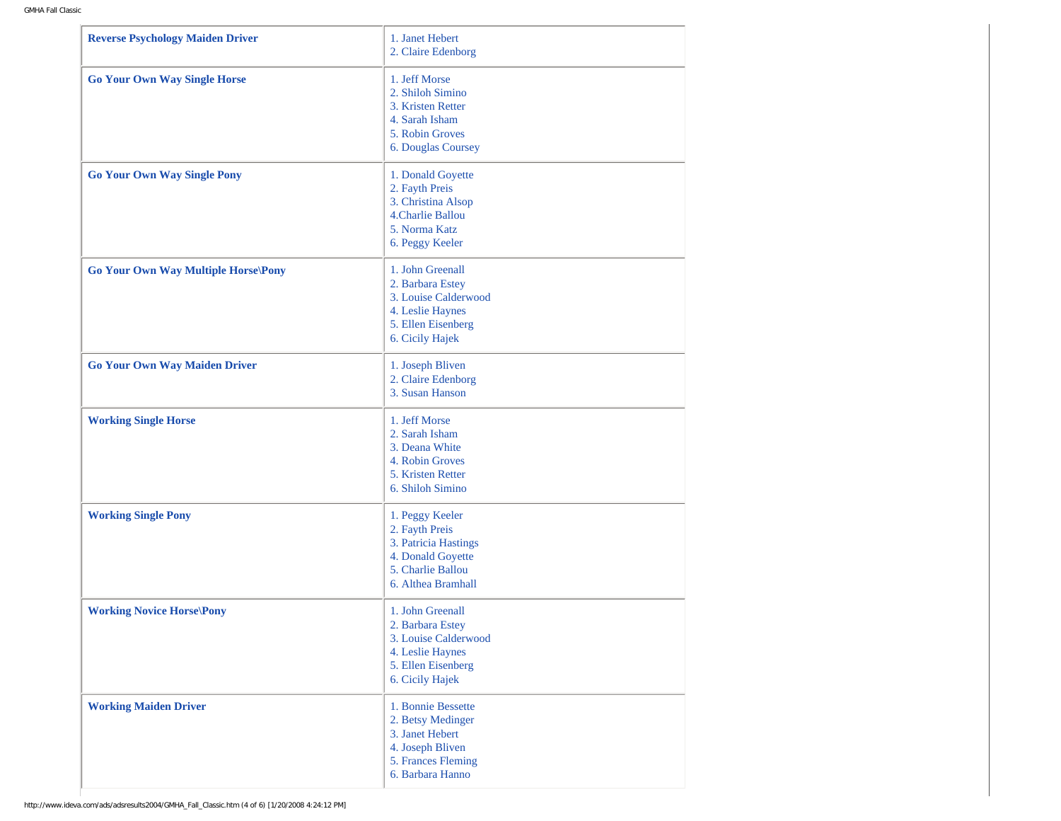| <b>Reverse Psychology Maiden Driver</b>    | 1. Janet Hebert<br>2. Claire Edenborg                                                                                     |
|--------------------------------------------|---------------------------------------------------------------------------------------------------------------------------|
| <b>Go Your Own Way Single Horse</b>        | 1. Jeff Morse<br>2. Shiloh Simino<br>3. Kristen Retter<br>4. Sarah Isham<br>5. Robin Groves<br>6. Douglas Coursey         |
| <b>Go Your Own Way Single Pony</b>         | 1. Donald Goyette<br>2. Fayth Preis<br>3. Christina Alsop<br>4.Charlie Ballou<br>5. Norma Katz<br>6. Peggy Keeler         |
| <b>Go Your Own Way Multiple Horse\Pony</b> | 1. John Greenall<br>2. Barbara Estey<br>3. Louise Calderwood<br>4. Leslie Haynes<br>5. Ellen Eisenberg<br>6. Cicily Hajek |
| <b>Go Your Own Way Maiden Driver</b>       | 1. Joseph Bliven<br>2. Claire Edenborg<br>3. Susan Hanson                                                                 |
| <b>Working Single Horse</b>                | 1. Jeff Morse<br>2. Sarah Isham<br>3. Deana White<br>4. Robin Groves<br>5. Kristen Retter<br>6. Shiloh Simino             |
| <b>Working Single Pony</b>                 | 1. Peggy Keeler<br>2. Fayth Preis<br>3. Patricia Hastings<br>4. Donald Goyette<br>5. Charlie Ballou<br>6. Althea Bramhall |
| <b>Working Novice Horse\Pony</b>           | 1. John Greenall<br>2. Barbara Estey<br>3. Louise Calderwood<br>4. Leslie Haynes<br>5. Ellen Eisenberg<br>6. Cicily Hajek |
| <b>Working Maiden Driver</b>               | 1. Bonnie Bessette<br>2. Betsy Medinger<br>3. Janet Hebert<br>4. Joseph Bliven<br>5. Frances Fleming<br>6. Barbara Hanno  |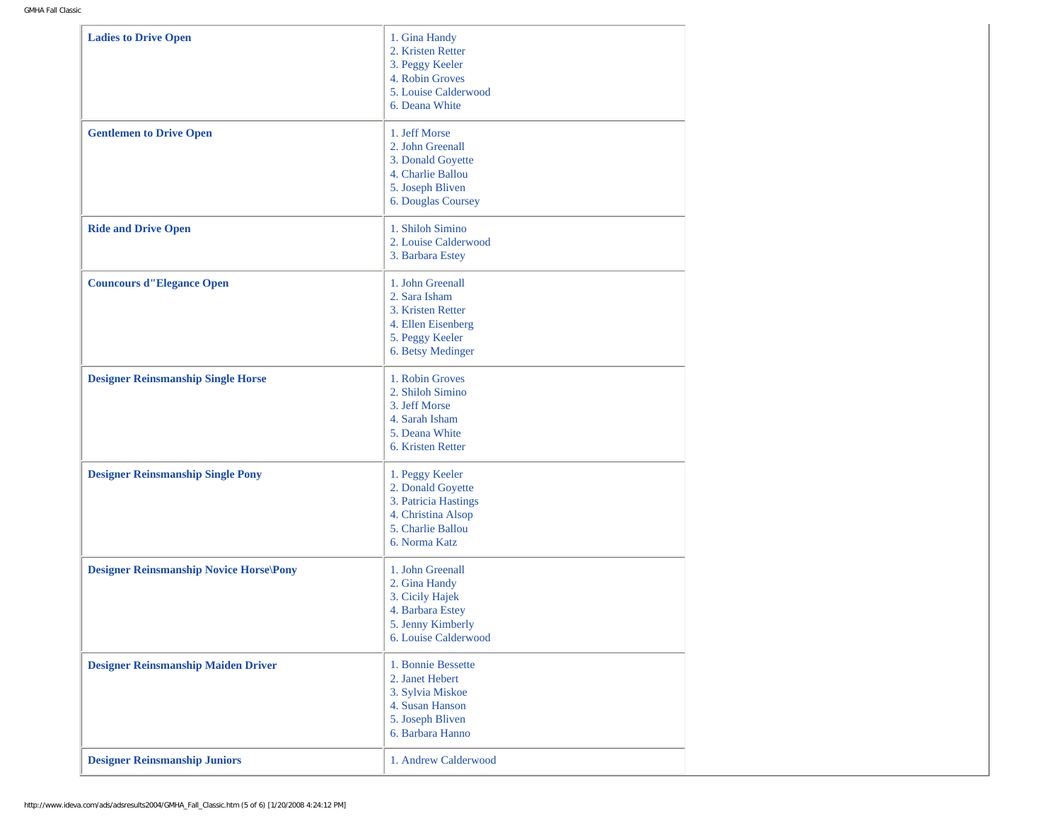| <b>Ladies to Drive Open</b><br>1. Gina Handy<br>2. Kristen Retter<br>3. Peggy Keeler<br>4. Robin Groves<br>5. Louise Calderwood<br>6. Deana White<br>1. Jeff Morse<br><b>Gentlemen to Drive Open</b><br>2. John Greenall<br>3. Donald Goyette<br>4. Charlie Ballou<br>5. Joseph Bliven<br>6. Douglas Coursey<br>1. Shiloh Simino<br><b>Ride and Drive Open</b><br>2. Louise Calderwood<br>3. Barbara Estey<br><b>Councours d''Elegance Open</b><br>1. John Greenall<br>2. Sara Isham<br>3. Kristen Retter<br>4. Ellen Eisenberg<br>5. Peggy Keeler<br>6. Betsy Medinger<br>1. Robin Groves<br><b>Designer Reinsmanship Single Horse</b><br>2. Shiloh Simino<br>3. Jeff Morse<br>4. Sarah Isham<br>5. Deana White<br>6. Kristen Retter<br><b>Designer Reinsmanship Single Pony</b><br>1. Peggy Keeler<br>2. Donald Goyette<br>3. Patricia Hastings<br>4. Christina Alsop<br>5. Charlie Ballou<br>6. Norma Katz<br><b>Designer Reinsmanship Novice Horse\Pony</b><br>1. John Greenall<br>2. Gina Handy<br>3. Cicily Hajek<br>4. Barbara Estey<br>5. Jenny Kimberly<br>6. Louise Calderwood<br>1. Bonnie Bessette<br>2. Janet Hebert<br>3. Sylvia Miskoe<br>4. Susan Hanson<br>5. Joseph Bliven<br>6. Barbara Hanno<br><b>Designer Reinsmanship Juniors</b><br>1. Andrew Calderwood |                                            |  |
|----------------------------------------------------------------------------------------------------------------------------------------------------------------------------------------------------------------------------------------------------------------------------------------------------------------------------------------------------------------------------------------------------------------------------------------------------------------------------------------------------------------------------------------------------------------------------------------------------------------------------------------------------------------------------------------------------------------------------------------------------------------------------------------------------------------------------------------------------------------------------------------------------------------------------------------------------------------------------------------------------------------------------------------------------------------------------------------------------------------------------------------------------------------------------------------------------------------------------------------------------------------------------------|--------------------------------------------|--|
|                                                                                                                                                                                                                                                                                                                                                                                                                                                                                                                                                                                                                                                                                                                                                                                                                                                                                                                                                                                                                                                                                                                                                                                                                                                                                  |                                            |  |
|                                                                                                                                                                                                                                                                                                                                                                                                                                                                                                                                                                                                                                                                                                                                                                                                                                                                                                                                                                                                                                                                                                                                                                                                                                                                                  |                                            |  |
|                                                                                                                                                                                                                                                                                                                                                                                                                                                                                                                                                                                                                                                                                                                                                                                                                                                                                                                                                                                                                                                                                                                                                                                                                                                                                  |                                            |  |
|                                                                                                                                                                                                                                                                                                                                                                                                                                                                                                                                                                                                                                                                                                                                                                                                                                                                                                                                                                                                                                                                                                                                                                                                                                                                                  |                                            |  |
|                                                                                                                                                                                                                                                                                                                                                                                                                                                                                                                                                                                                                                                                                                                                                                                                                                                                                                                                                                                                                                                                                                                                                                                                                                                                                  |                                            |  |
|                                                                                                                                                                                                                                                                                                                                                                                                                                                                                                                                                                                                                                                                                                                                                                                                                                                                                                                                                                                                                                                                                                                                                                                                                                                                                  |                                            |  |
|                                                                                                                                                                                                                                                                                                                                                                                                                                                                                                                                                                                                                                                                                                                                                                                                                                                                                                                                                                                                                                                                                                                                                                                                                                                                                  |                                            |  |
|                                                                                                                                                                                                                                                                                                                                                                                                                                                                                                                                                                                                                                                                                                                                                                                                                                                                                                                                                                                                                                                                                                                                                                                                                                                                                  | <b>Designer Reinsmanship Maiden Driver</b> |  |
|                                                                                                                                                                                                                                                                                                                                                                                                                                                                                                                                                                                                                                                                                                                                                                                                                                                                                                                                                                                                                                                                                                                                                                                                                                                                                  |                                            |  |